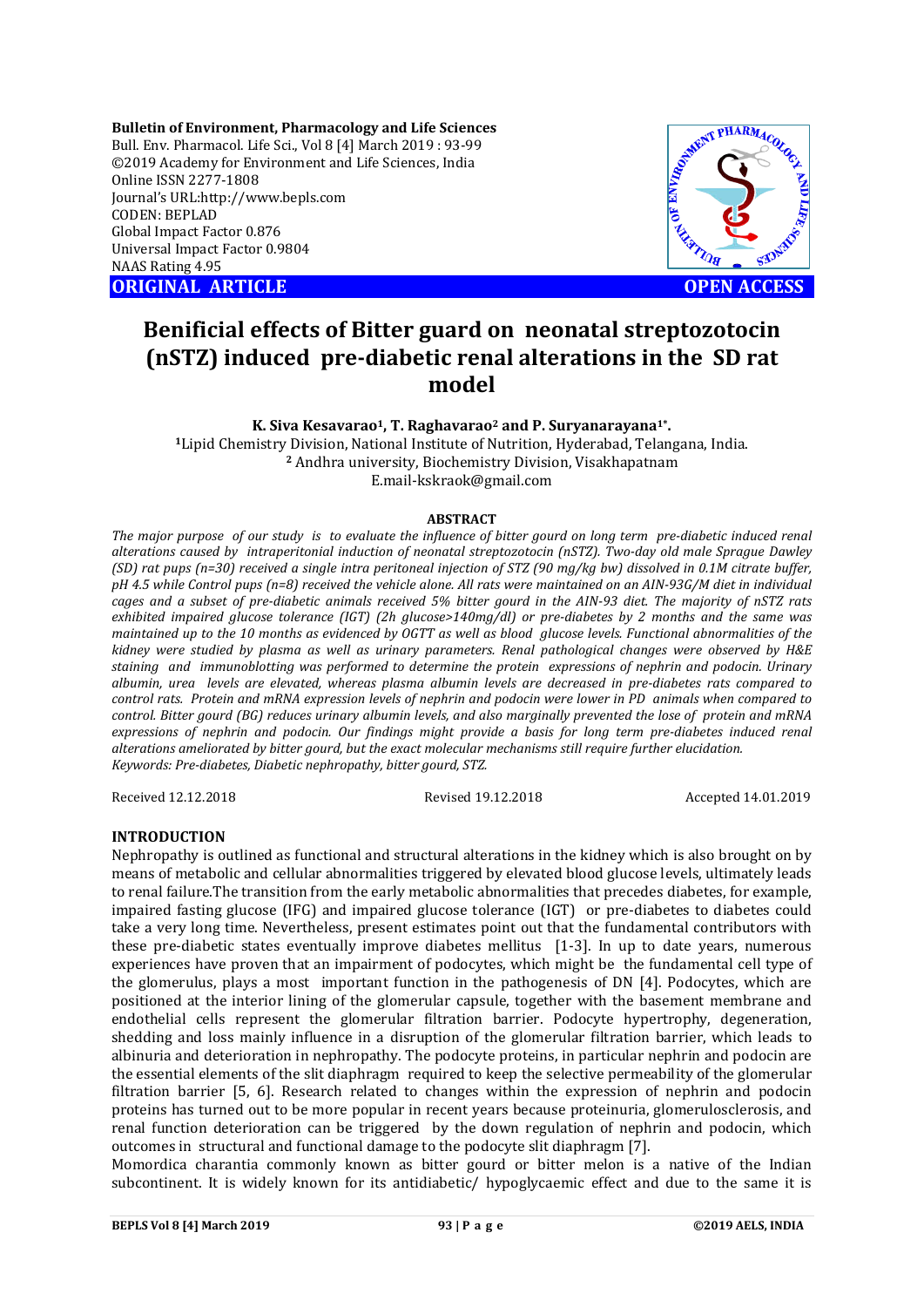**Bulletin of Environment, Pharmacology and Life Sciences** Bull. Env. Pharmacol. Life Sci., Vol 8 [4] March 2019 : 93-99 ©2019 Academy for Environment and Life Sciences, India Online ISSN 2277-1808 Journal's URL:http://www.bepls.com CODEN: BEPLAD Global Impact Factor 0.876 Universal Impact Factor 0.9804 NAAS Rating 4.95

**ORIGINAL ARTICLE OPEN ACCESS** 



# **Benificial effects of Bitter guard on neonatal streptozotocin (nSTZ) induced pre-diabetic renal alterations in the SD rat model**

**K. Siva Kesavarao1, T. Raghavarao2 and P. Suryanarayana1\*. <sup>1</sup>**Lipid Chemistry Division, National Institute of Nutrition, Hyderabad, Telangana, India. **<sup>2</sup>** Andhra university, Biochemistry Division, Visakhapatnam E.mail-kskraok@gmail.com

#### **ABSTRACT**

*The major purpose of our study is to evaluate the influence of bitter gourd on long term pre-diabetic induced renal alterations caused by intraperitonial induction of neonatal streptozotocin (nSTZ). Two-day old male Sprague Dawley (SD) rat pups (n=30) received a single intra peritoneal injection of STZ (90 mg/kg bw) dissolved in 0.1M citrate buffer, pH 4.5 while Control pups (n=8) received the vehicle alone. All rats were maintained on an AIN-93G/M diet in individual cages and a subset of pre-diabetic animals received 5% bitter gourd in the AIN-93 diet. The majority of nSTZ rats exhibited impaired glucose tolerance (IGT) (2h glucose>140mg/dl) or pre-diabetes by 2 months and the same was maintained up to the 10 months as evidenced by OGTT as well as blood glucose levels. Functional abnormalities of the kidney were studied by plasma as well as urinary parameters. Renal pathological changes were observed by H&E staining and immunoblotting was performed to determine the protein expressions of nephrin and podocin. Urinary albumin, urea levels are elevated, whereas plasma albumin levels are decreased in pre-diabetes rats compared to control rats. Protein and mRNA expression levels of nephrin and podocin were lower in PD animals when compared to control. Bitter gourd (BG) reduces urinary albumin levels, and also marginally prevented the lose of protein and mRNA expressions of nephrin and podocin. Our findings might provide a basis for long term pre-diabetes induced renal alterations ameliorated by bitter gourd, but the exact molecular mechanisms still require further elucidation. Keywords: Pre-diabetes, Diabetic nephropathy, bitter gourd, STZ.* 

Received 12.12.2018 Revised 19.12.2018 Accepted 14.01.2019

## **INTRODUCTION**

Nephropathy is outlined as functional and structural alterations in the kidney which is also brought on by means of metabolic and cellular abnormalities triggered by elevated blood glucose levels, ultimately leads to renal failure.The transition from the early metabolic abnormalities that precedes diabetes, for example, impaired fasting glucose (IFG) and impaired glucose tolerance (IGT) or pre-diabetes to diabetes could take a very long time. Nevertheless, present estimates point out that the fundamental contributors with these pre-diabetic states eventually improve diabetes mellitus [1-3]. In up to date years, numerous experiences have proven that an impairment of podocytes, which might be the fundamental cell type of the glomerulus, plays a most important function in the pathogenesis of DN [4]. Podocytes, which are positioned at the interior lining of the glomerular capsule, together with the basement membrane and endothelial cells represent the glomerular filtration barrier. Podocyte hypertrophy, degeneration, shedding and loss mainly influence in a disruption of the glomerular filtration barrier, which leads to albinuria and deterioration in nephropathy. The podocyte proteins, in particular nephrin and podocin are the essential elements of the slit diaphragm required to keep the selective permeability of the glomerular filtration barrier [5, 6]. Research related to changes within the expression of nephrin and podocin proteins has turned out to be more popular in recent years because proteinuria, glomerulosclerosis, and renal function deterioration can be triggered by the down regulation of nephrin and podocin, which outcomes in structural and functional damage to the podocyte slit diaphragm [7].

Momordica charantia commonly known as bitter gourd or bitter melon is a native of the Indian subcontinent. It is widely known for its antidiabetic/ hypoglycaemic effect and due to the same it is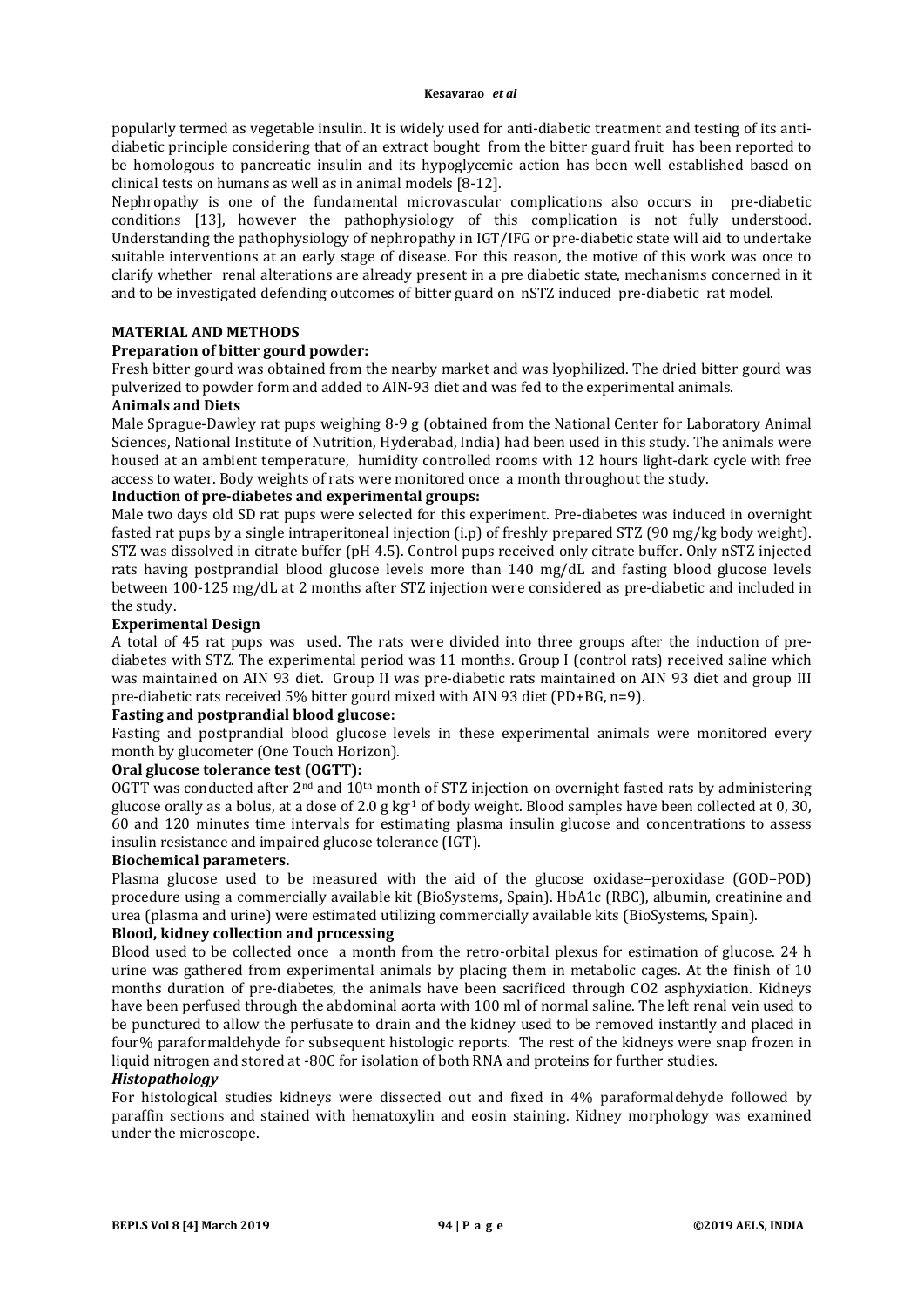popularly termed as vegetable insulin. It is widely used for anti-diabetic treatment and testing of its antidiabetic principle considering that of an extract bought from the bitter guard fruit has been reported to be homologous to pancreatic insulin and its hypoglycemic action has been well established based on clinical tests on humans as well as in animal models [8-12].

Nephropathy is one of the fundamental microvascular complications also occurs in pre-diabetic conditions [13], however the pathophysiology of this complication is not fully understood. Understanding the pathophysiology of nephropathy in IGT/IFG or pre-diabetic state will aid to undertake suitable interventions at an early stage of disease. For this reason, the motive of this work was once to clarify whether renal alterations are already present in a pre diabetic state, mechanisms concerned in it and to be investigated defending outcomes of bitter guard on nSTZ induced pre-diabetic rat model.

# **MATERIAL AND METHODS**

## **Preparation of bitter gourd powder:**

Fresh bitter gourd was obtained from the nearby market and was lyophilized. The dried bitter gourd was pulverized to powder form and added to AIN-93 diet and was fed to the experimental animals.

# **Animals and Diets**

Male Sprague-Dawley rat pups weighing 8-9 g (obtained from the National Center for Laboratory Animal Sciences, National Institute of Nutrition, Hyderabad, India) had been used in this study. The animals were housed at an ambient temperature, humidity controlled rooms with 12 hours light-dark cycle with free access to water. Body weights of rats were monitored once a month throughout the study.

## **Induction of pre-diabetes and experimental groups:**

Male two days old SD rat pups were selected for this experiment. Pre-diabetes was induced in overnight fasted rat pups by a single intraperitoneal injection (i.p) of freshly prepared STZ (90 mg/kg body weight). STZ was dissolved in citrate buffer (pH 4.5). Control pups received only citrate buffer. Only nSTZ injected rats having postprandial blood glucose levels more than 140 mg/dL and fasting blood glucose levels between 100-125 mg/dL at 2 months after STZ injection were considered as pre-diabetic and included in the study.

#### **Experimental Design**

A total of 45 rat pups was used. The rats were divided into three groups after the induction of prediabetes with STZ. The experimental period was 11 months. Group I (control rats) received saline which was maintained on AIN 93 diet. Group II was pre-diabetic rats maintained on AIN 93 diet and group III pre-diabetic rats received 5% bitter gourd mixed with AIN 93 diet (PD+BG, n=9).

## **Fasting and postprandial blood glucose:**

Fasting and postprandial blood glucose levels in these experimental animals were monitored every month by glucometer (One Touch Horizon).

# **Oral glucose tolerance test (OGTT):**

OGTT was conducted after  $2<sup>nd</sup>$  and  $10<sup>th</sup>$  month of STZ injection on overnight fasted rats by administering glucose orally as a bolus, at a dose of 2.0 g kg<sup>-1</sup> of body weight. Blood samples have been collected at 0, 30, 60 and 120 minutes time intervals for estimating plasma insulin glucose and concentrations to assess insulin resistance and impaired glucose tolerance (IGT).

## **Biochemical parameters.**

Plasma glucose used to be measured with the aid of the glucose oxidase–peroxidase (GOD–POD) procedure using a commercially available kit (BioSystems, Spain). HbA1c (RBC), albumin, creatinine and urea (plasma and urine) were estimated utilizing commercially available kits (BioSystems, Spain).

# **Blood, kidney collection and processing**

Blood used to be collected once a month from the retro-orbital plexus for estimation of glucose. 24 h urine was gathered from experimental animals by placing them in metabolic cages. At the finish of 10 months duration of pre-diabetes, the animals have been sacrificed through CO2 asphyxiation. Kidneys have been perfused through the abdominal aorta with 100 ml of normal saline. The left renal vein used to be punctured to allow the perfusate to drain and the kidney used to be removed instantly and placed in four% paraformaldehyde for subsequent histologic reports. The rest of the kidneys were snap frozen in liquid nitrogen and stored at -80C for isolation of both RNA and proteins for further studies.

## *Histopathology*

For histological studies kidneys were dissected out and fixed in 4% paraformaldehyde followed by paraffin sections and stained with hematoxylin and eosin staining. Kidney morphology was examined under the microscope.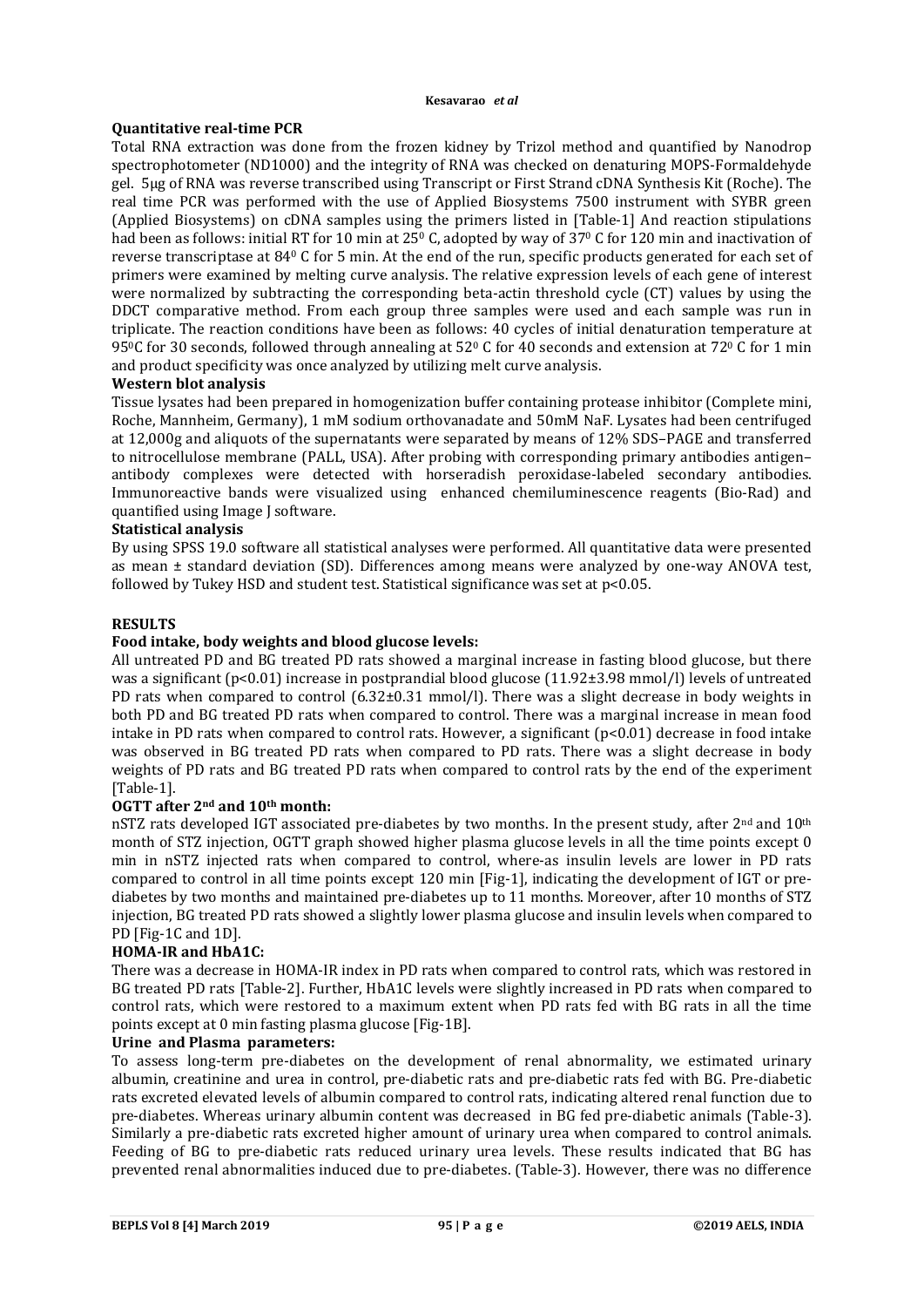#### **Kesavarao** *et al*

# **Quantitative real-time PCR**

Total RNA extraction was done from the frozen kidney by Trizol method and quantified by Nanodrop spectrophotometer (ND1000) and the integrity of RNA was checked on denaturing MOPS-Formaldehyde gel. 5µg of RNA was reverse transcribed using Transcript or First Strand cDNA Synthesis Kit (Roche). The real time PCR was performed with the use of Applied Biosystems 7500 instrument with SYBR green (Applied Biosystems) on cDNA samples using the primers listed in [Table-1] And reaction stipulations had been as follows: initial RT for 10 min at 25<sup>0</sup> C, adopted by way of 37<sup>0</sup> C for 120 min and inactivation of reverse transcriptase at 840 C for 5 min. At the end of the run, specific products generated for each set of primers were examined by melting curve analysis. The relative expression levels of each gene of interest were normalized by subtracting the corresponding beta-actin threshold cycle (CT) values by using the DDCT comparative method. From each group three samples were used and each sample was run in triplicate. The reaction conditions have been as follows: 40 cycles of initial denaturation temperature at 95<sup>0</sup>C for 30 seconds, followed through annealing at 52<sup>0</sup> C for 40 seconds and extension at 72<sup>0</sup> C for 1 min and product specificity was once analyzed by utilizing melt curve analysis.

# **Western blot analysis**

Tissue lysates had been prepared in homogenization buffer containing protease inhibitor (Complete mini, Roche, Mannheim, Germany), 1 mM sodium orthovanadate and 50mM NaF. Lysates had been centrifuged at 12,000g and aliquots of the supernatants were separated by means of 12% SDS–PAGE and transferred to nitrocellulose membrane (PALL, USA). After probing with corresponding primary antibodies antigen– antibody complexes were detected with horseradish peroxidase-labeled secondary antibodies. Immunoreactive bands were visualized using enhanced chemiluminescence reagents (Bio-Rad) and quantified using Image J software.

# **Statistical analysis**

By using SPSS 19.0 software all statistical analyses were performed. All quantitative data were presented as mean ± standard deviation (SD). Differences among means were analyzed by one-way ANOVA test, followed by Tukey HSD and student test. Statistical significance was set at p<0.05.

## **RESULTS**

## **Food intake, body weights and blood glucose levels:**

All untreated PD and BG treated PD rats showed a marginal increase in fasting blood glucose, but there was a significant (p<0.01) increase in postprandial blood glucose (11.92±3.98 mmol/l) levels of untreated PD rats when compared to control  $(6.32\pm0.31 \text{ mmol/l})$ . There was a slight decrease in body weights in both PD and BG treated PD rats when compared to control. There was a marginal increase in mean food intake in PD rats when compared to control rats. However, a significant (p<0.01) decrease in food intake was observed in BG treated PD rats when compared to PD rats. There was a slight decrease in body weights of PD rats and BG treated PD rats when compared to control rats by the end of the experiment [Table-1].

## **OGTT after 2nd and 10th month:**

nSTZ rats developed IGT associated pre-diabetes by two months. In the present study, after 2<sup>nd</sup> and 10<sup>th</sup> month of STZ injection, OGTT graph showed higher plasma glucose levels in all the time points except 0 min in nSTZ injected rats when compared to control, where-as insulin levels are lower in PD rats compared to control in all time points except 120 min [Fig-1], indicating the development of IGT or prediabetes by two months and maintained pre-diabetes up to 11 months. Moreover, after 10 months of STZ injection, BG treated PD rats showed a slightly lower plasma glucose and insulin levels when compared to PD [Fig-1C and 1D].

## **HOMA-IR and HbA1C:**

There was a decrease in HOMA-IR index in PD rats when compared to control rats, which was restored in BG treated PD rats [Table-2]. Further, HbA1C levels were slightly increased in PD rats when compared to control rats, which were restored to a maximum extent when PD rats fed with BG rats in all the time points except at 0 min fasting plasma glucose [Fig-1B].

## **Urine and Plasma parameters:**

To assess long-term pre-diabetes on the development of renal abnormality, we estimated urinary albumin, creatinine and urea in control, pre-diabetic rats and pre-diabetic rats fed with BG. Pre-diabetic rats excreted elevated levels of albumin compared to control rats, indicating altered renal function due to pre-diabetes. Whereas urinary albumin content was decreased in BG fed pre-diabetic animals (Table-3). Similarly a pre-diabetic rats excreted higher amount of urinary urea when compared to control animals. Feeding of BG to pre-diabetic rats reduced urinary urea levels. These results indicated that BG has prevented renal abnormalities induced due to pre-diabetes. (Table-3). However, there was no difference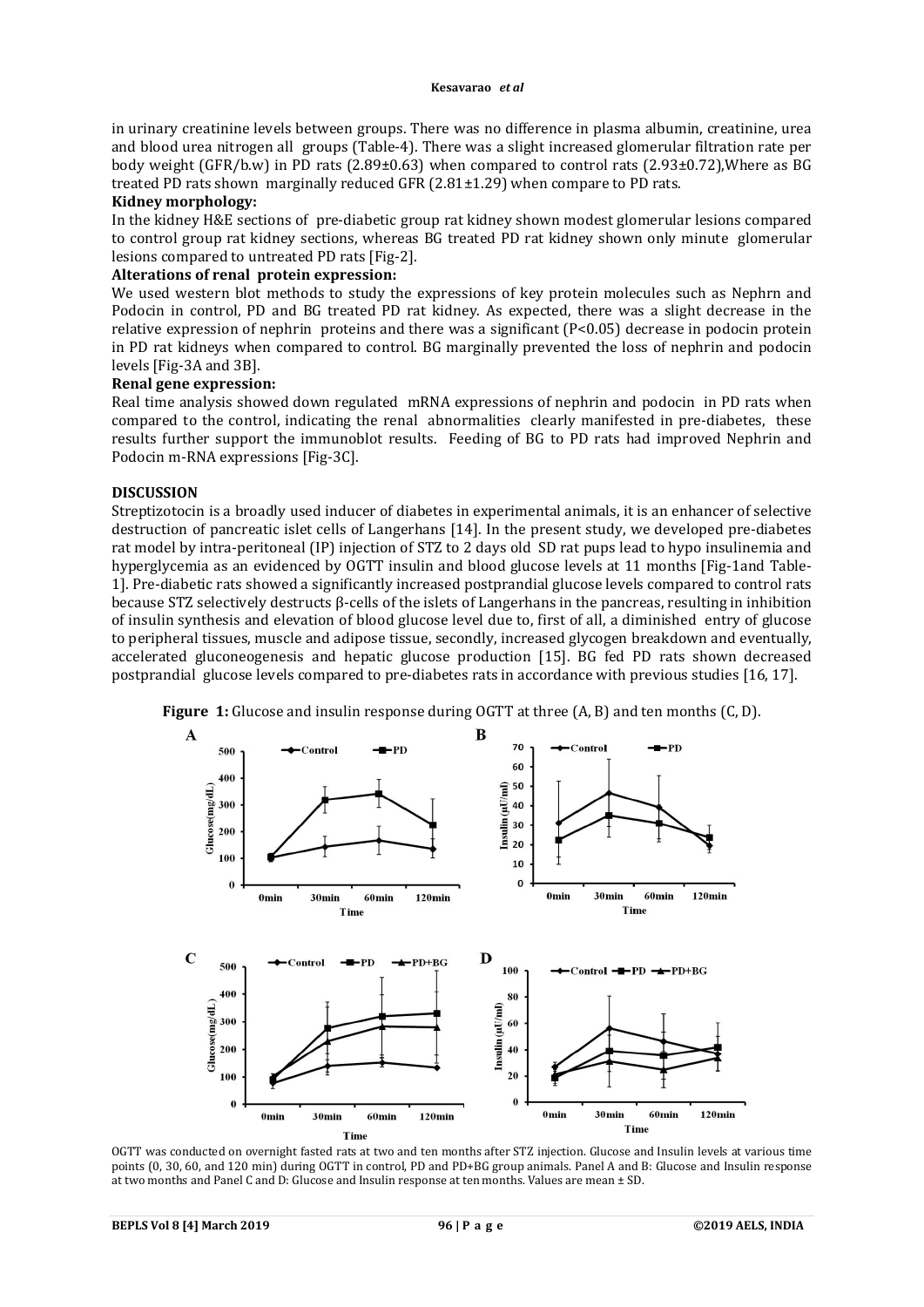in urinary creatinine levels between groups. There was no difference in plasma albumin, creatinine, urea and blood urea nitrogen all groups (Table-4). There was a slight increased glomerular filtration rate per body weight (GFR/b.w) in PD rats (2.89±0.63) when compared to control rats (2.93±0.72),Where as BG treated PD rats shown marginally reduced GFR (2.81±1.29) when compare to PD rats.

## **Kidney morphology:**

In the kidney H&E sections of pre-diabetic group rat kidney shown modest glomerular lesions compared to control group rat kidney sections, whereas BG treated PD rat kidney shown only minute glomerular lesions compared to untreated PD rats [Fig-2].

## **Alterations of renal protein expression:**

We used western blot methods to study the expressions of key protein molecules such as Nephrn and Podocin in control, PD and BG treated PD rat kidney. As expected, there was a slight decrease in the relative expression of nephrin proteins and there was a significant (P<0.05) decrease in podocin protein in PD rat kidneys when compared to control. BG marginally prevented the loss of nephrin and podocin levels [Fig-3A and 3B].

#### **Renal gene expression:**

Real time analysis showed down regulated mRNA expressions of nephrin and podocin in PD rats when compared to the control, indicating the renal abnormalities clearly manifested in pre-diabetes, these results further support the immunoblot results. Feeding of BG to PD rats had improved Nephrin and Podocin m-RNA expressions [Fig-3C].

#### **DISCUSSION**

Streptizotocin is a broadly used inducer of diabetes in experimental animals, it is an enhancer of selective destruction of pancreatic islet cells of Langerhans [14]. In the present study, we developed pre-diabetes rat model by intra-peritoneal (IP) injection of STZ to 2 days old SD rat pups lead to hypo insulinemia and hyperglycemia as an evidenced by OGTT insulin and blood glucose levels at 11 months [Fig-1and Table-1]. Pre-diabetic rats showed a significantly increased postprandial glucose levels compared to control rats because STZ selectively destructs β-cells of the islets of Langerhans in the pancreas, resulting in inhibition of insulin synthesis and elevation of blood glucose level due to, first of all, a diminished entry of glucose to peripheral tissues, muscle and adipose tissue, secondly, increased glycogen breakdown and eventually, accelerated gluconeogenesis and hepatic glucose production [15]. BG fed PD rats shown decreased postprandial glucose levels compared to pre-diabetes rats in accordance with previous studies [16, 17].



**Figure 1:** Glucose and insulin response during OGTT at three (A, B) and ten months (C, D).

OGTT was conducted on overnight fasted rats at two and ten months after STZ injection. Glucose and Insulin levels at various time points (0, 30, 60, and 120 min) during OGTT in control, PD and PD+BG group animals. Panel A and B: Glucose and Insulin response at two months and Panel C and D: Glucose and Insulin response at ten months. Values are mean ± SD.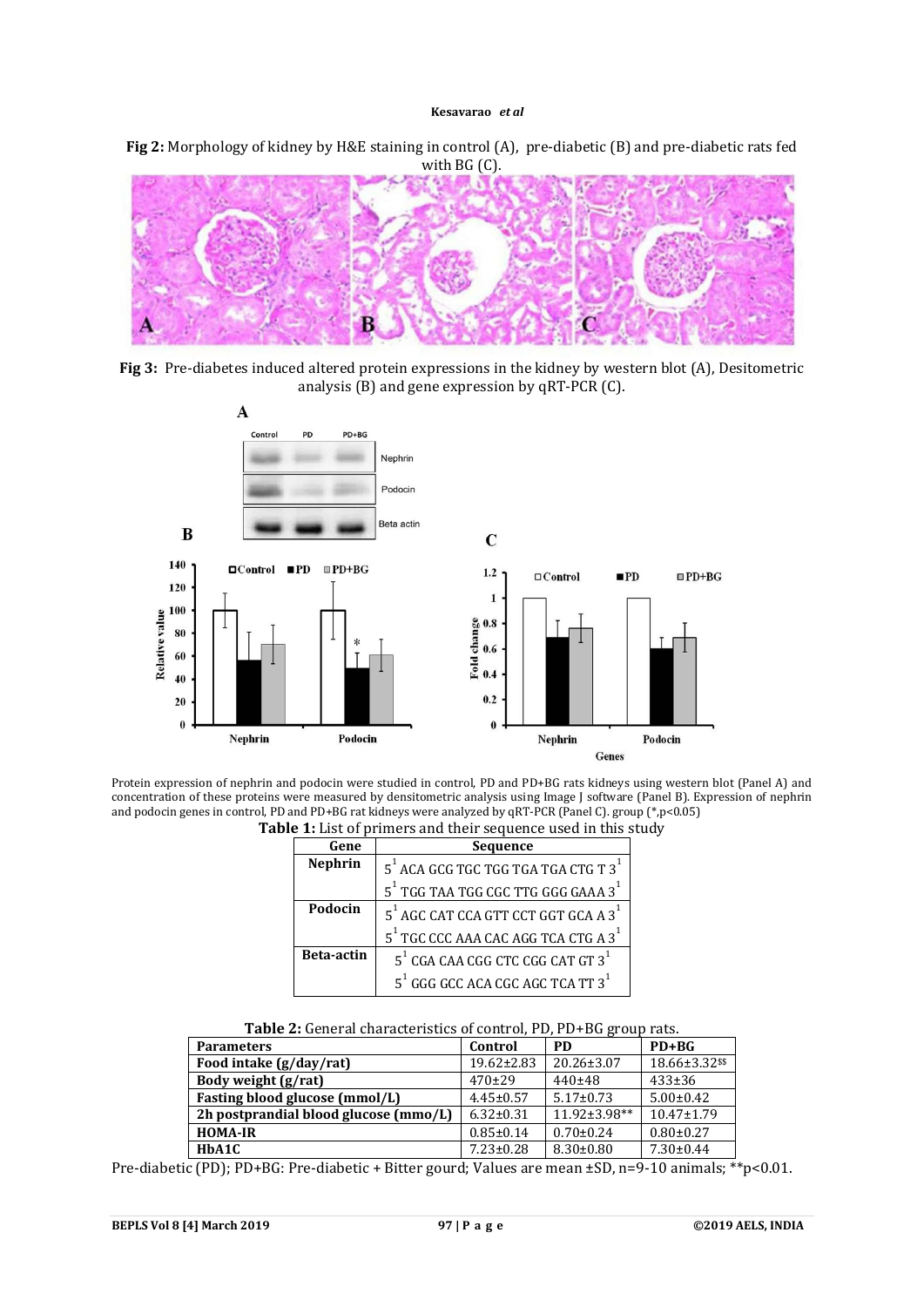#### **Kesavarao** *et al*

**Fig 2:** Morphology of kidney by H&E staining in control (A), pre-diabetic (B) and pre-diabetic rats fed with BG (C).







Protein expression of nephrin and podocin were studied in control, PD and PD+BG rats kidneys using western blot (Panel A) and concentration of these proteins were measured by densitometric analysis using Image J software (Panel B). Expression of nephrin and podocin genes in control, PD and PD+BG rat kidneys were analyzed by qRT-PCR (Panel C). group (\*,p<0.05) **Table 1:** List of primers and their sequence used in this study

| Gene           | Sequence                                       |  |
|----------------|------------------------------------------------|--|
| <b>Nephrin</b> | $5^1$ ACA GCG TGC TGG TGA TGA CTG T $3^1$      |  |
|                | $5^1$ TGG TAA TGG CGC TTG GGG GAAA $3^1$       |  |
| Podocin        | 5 <sup>1</sup> AGC CAT CCA GTT CCT GGT GCA A 3 |  |
|                | $5^1$ TGC CCC AAA CAC AGG TCA CTG A $3^1$      |  |
| Beta-actin     | $5^1$ CGA CAA CGG CTC CGG CAT GT $3^1$         |  |
|                | $5^1$ GGG GCC ACA CGC AGC TCA TT $3^1$         |  |

#### **Table 2:** General characteristics of control, PD, PD+BG group rats.

| <b>Parameters</b>                     | Control          | <b>PD</b>          | $PD+BG$          |
|---------------------------------------|------------------|--------------------|------------------|
| Food intake (g/day/rat)               | $19.62 \pm 2.83$ | $20.26 \pm 3.07$   | 18.66±3.32 \$\$  |
| Body weight (g/rat)                   | $470+29$         | $440+48$           | $433 \pm 36$     |
| Fasting blood glucose (mmol/L)        | $4.45 \pm 0.57$  | $5.17 \pm 0.73$    | $5.00 \pm 0.42$  |
| 2h postprandial blood glucose (mmo/L) | $6.32 \pm 0.31$  | $11.92 \pm 3.98**$ | $10.47 \pm 1.79$ |
| <b>HOMA-IR</b>                        | $0.85 \pm 0.14$  | $0.70 \pm 0.24$    | $0.80 \pm 0.27$  |
| HbA1C                                 | $7.23 \pm 0.28$  | $8.30 \pm 0.80$    | $7.30 \pm 0.44$  |

Pre-diabetic (PD); PD+BG: Pre-diabetic + Bitter gourd; Values are mean ±SD, n=9-10 animals; \*\*p<0.01.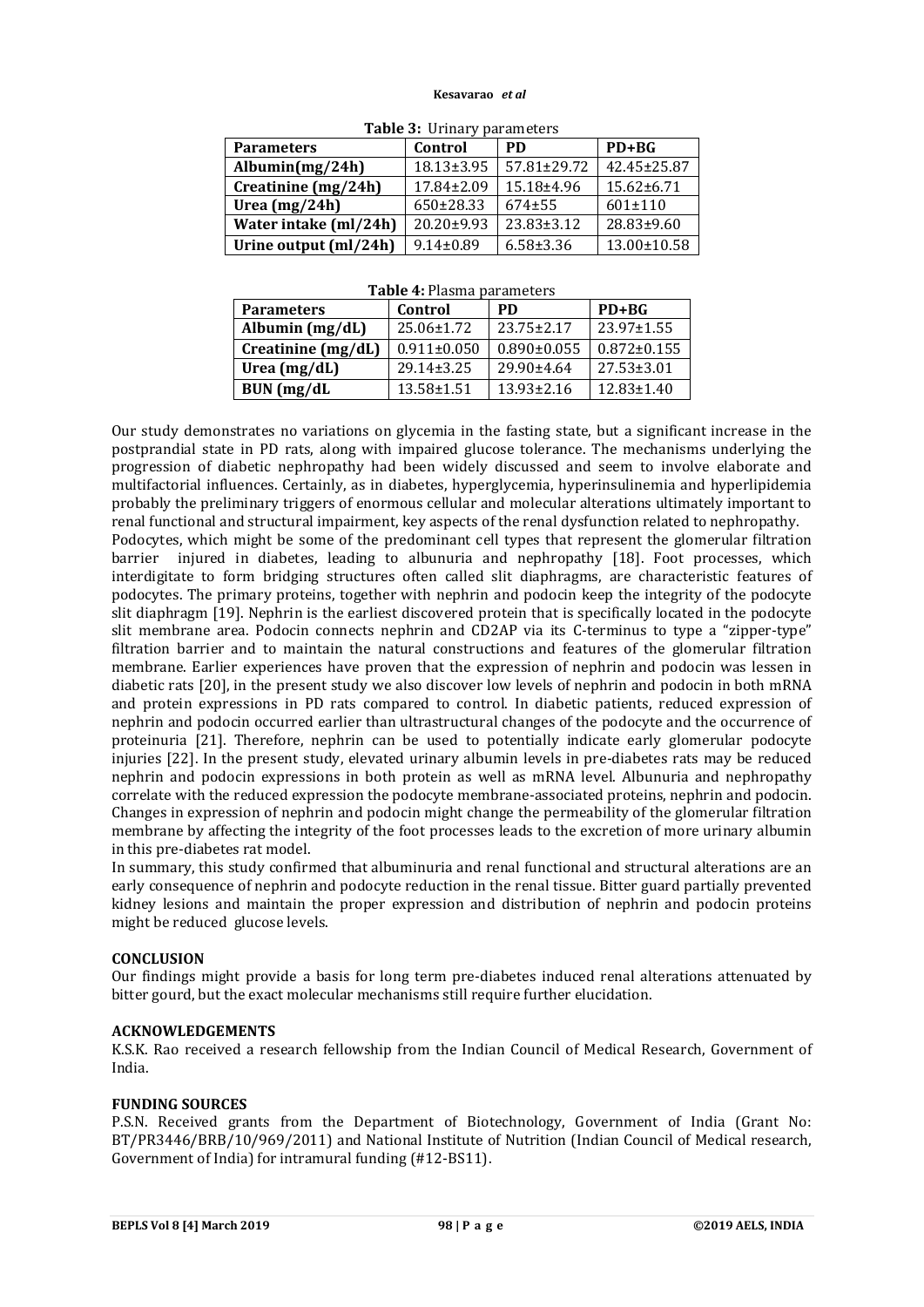#### **Kesavarao** *et al*

| <b>Parameters</b>     | Control          | PD               | $PD+BG$          |  |  |
|-----------------------|------------------|------------------|------------------|--|--|
| Albumin $(mg/24h)$    | 18.13±3.95       | 57.81±29.72      | 42.45±25.87      |  |  |
| Creatinine (mg/24h)   | $17.84 \pm 2.09$ | 15.18±4.96       | $15.62 \pm 6.71$ |  |  |
| Urea $(mg/24h)$       | $650\pm28.33$    | $674 + 55$       | $601 \pm 110$    |  |  |
| Water intake (ml/24h) | 20.20±9.93       | $23.83 \pm 3.12$ | 28.83±9.60       |  |  |
| Urine output (ml/24h) | $9.14 \pm 0.89$  | $6.58 \pm 3.36$  | 13.00±10.58      |  |  |

**Table 3:** Urinary parameters

|  |  |  | Table 4: Plasma parameters |
|--|--|--|----------------------------|
|--|--|--|----------------------------|

| <b>Parameters</b>  | Control           | <b>PD</b>         | $PD+BG$           |
|--------------------|-------------------|-------------------|-------------------|
| Albumin $(mg/dL)$  | $25.06 \pm 1.72$  | $23.75 \pm 2.17$  | 23.97±1.55        |
| Creatinine (mg/dL) | $0.911 \pm 0.050$ | $0.890 \pm 0.055$ | $0.872 \pm 0.155$ |
| Urea (mg/dL)       | $29.14 \pm 3.25$  | $29.90 \pm 4.64$  | $27.53 \pm 3.01$  |
| BUN (mg/dL         | $13.58 \pm 1.51$  | $13.93 \pm 2.16$  | $12.83 \pm 1.40$  |

Our study demonstrates no variations on glycemia in the fasting state, but a significant increase in the postprandial state in PD rats, along with impaired glucose tolerance. The mechanisms underlying the progression of diabetic nephropathy had been widely discussed and seem to involve elaborate and multifactorial influences. Certainly, as in diabetes, hyperglycemia, hyperinsulinemia and hyperlipidemia probably the preliminary triggers of enormous cellular and molecular alterations ultimately important to renal functional and structural impairment, key aspects of the renal dysfunction related to nephropathy. Podocytes, which might be some of the predominant cell types that represent the glomerular filtration

barrier injured in diabetes, leading to albunuria and nephropathy [18]. Foot processes, which interdigitate to form bridging structures often called slit diaphragms, are characteristic features of podocytes. The primary proteins, together with nephrin and podocin keep the integrity of the podocyte slit diaphragm [19]. Nephrin is the earliest discovered protein that is specifically located in the podocyte slit membrane area. Podocin connects nephrin and CD2AP via its C-terminus to type a "zipper-type" filtration barrier and to maintain the natural constructions and features of the glomerular filtration membrane. Earlier experiences have proven that the expression of nephrin and podocin was lessen in diabetic rats [20], in the present study we also discover low levels of nephrin and podocin in both mRNA and protein expressions in PD rats compared to control. In diabetic patients, reduced expression of nephrin and podocin occurred earlier than ultrastructural changes of the podocyte and the occurrence of proteinuria [21]. Therefore, nephrin can be used to potentially indicate early glomerular podocyte injuries [22]. In the present study, elevated urinary albumin levels in pre-diabetes rats may be reduced nephrin and podocin expressions in both protein as well as mRNA level. Albunuria and nephropathy correlate with the reduced expression the podocyte membrane-associated proteins, nephrin and podocin. Changes in expression of nephrin and podocin might change the permeability of the glomerular filtration membrane by affecting the integrity of the foot processes leads to the excretion of more urinary albumin in this pre-diabetes rat model.

In summary, this study confirmed that albuminuria and renal functional and structural alterations are an early consequence of nephrin and podocyte reduction in the renal tissue. Bitter guard partially prevented kidney lesions and maintain the proper expression and distribution of nephrin and podocin proteins might be reduced glucose levels.

## **CONCLUSION**

Our findings might provide a basis for long term pre-diabetes induced renal alterations attenuated by bitter gourd, but the exact molecular mechanisms still require further elucidation.

#### **ACKNOWLEDGEMENTS**

K.S.K. Rao received a research fellowship from the Indian Council of Medical Research, Government of India.

#### **FUNDING SOURCES**

P.S.N. Received grants from the Department of Biotechnology, Government of India (Grant No: BT/PR3446/BRB/10/969/2011) and National Institute of Nutrition (Indian Council of Medical research, Government of India) for intramural funding (#12-BS11).